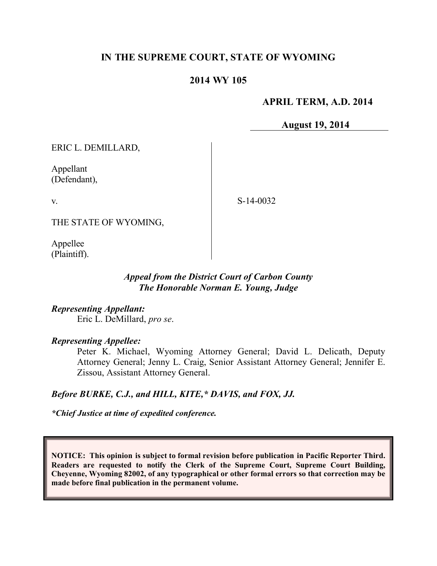# **IN THE SUPREME COURT, STATE OF WYOMING**

### **2014 WY 105**

### **APRIL TERM, A.D. 2014**

**August 19, 2014**

ERIC L. DEMILLARD,

Appellant (Defendant),

v.

S-14-0032

THE STATE OF WYOMING,

Appellee (Plaintiff).

### *Appeal from the District Court of Carbon County The Honorable Norman E. Young, Judge*

*Representing Appellant:* Eric L. DeMillard, *pro se*.

*Representing Appellee:*

Peter K. Michael, Wyoming Attorney General; David L. Delicath, Deputy Attorney General; Jenny L. Craig, Senior Assistant Attorney General; Jennifer E. Zissou, Assistant Attorney General.

#### *Before BURKE, C.J., and HILL, KITE,\* DAVIS, and FOX, JJ.*

*\*Chief Justice at time of expedited conference.*

**NOTICE: This opinion is subject to formal revision before publication in Pacific Reporter Third. Readers are requested to notify the Clerk of the Supreme Court, Supreme Court Building, Cheyenne, Wyoming 82002, of any typographical or other formal errors so that correction may be made before final publication in the permanent volume.**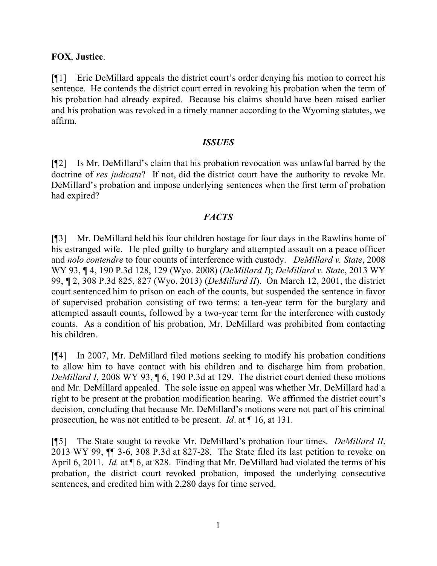# **FOX**, **Justice**.

[¶1] Eric DeMillard appeals the district court's order denying his motion to correct his sentence. He contends the district court erred in revoking his probation when the term of his probation had already expired. Because his claims should have been raised earlier and his probation was revoked in a timely manner according to the Wyoming statutes, we affirm.

### *ISSUES*

[¶2] Is Mr. DeMillard's claim that his probation revocation was unlawful barred by the doctrine of *res judicata*? If not, did the district court have the authority to revoke Mr. DeMillard's probation and impose underlying sentences when the first term of probation had expired?

# *FACTS*

[¶3] Mr. DeMillard held his four children hostage for four days in the Rawlins home of his estranged wife. He pled guilty to burglary and attempted assault on a peace officer and *nolo contendre* to four counts of interference with custody. *DeMillard v. State*, 2008 WY 93, ¶ 4, 190 P.3d 128, 129 (Wyo. 2008) (*DeMillard I*); *DeMillard v. State*, 2013 WY 99, ¶ 2, 308 P.3d 825, 827 (Wyo. 2013) (*DeMillard II*). On March 12, 2001, the district court sentenced him to prison on each of the counts, but suspended the sentence in favor of supervised probation consisting of two terms: a ten-year term for the burglary and attempted assault counts, followed by a two-year term for the interference with custody counts. As a condition of his probation, Mr. DeMillard was prohibited from contacting his children.

[¶4] In 2007, Mr. DeMillard filed motions seeking to modify his probation conditions to allow him to have contact with his children and to discharge him from probation. *DeMillard I*, 2008 WY 93, ¶ 6, 190 P.3d at 129. The district court denied these motions and Mr. DeMillard appealed. The sole issue on appeal was whether Mr. DeMillard had a right to be present at the probation modification hearing. We affirmed the district court's decision, concluding that because Mr. DeMillard's motions were not part of his criminal prosecution, he was not entitled to be present. *Id*. at ¶ 16, at 131.

[¶5] The State sought to revoke Mr. DeMillard's probation four times. *DeMillard II*, 2013 WY 99, ¶¶ 3-6, 308 P.3d at 827-28. The State filed its last petition to revoke on April 6, 2011. *Id.* at  $\oint$  6, at 828. Finding that Mr. DeMillard had violated the terms of his probation, the district court revoked probation, imposed the underlying consecutive sentences, and credited him with 2,280 days for time served.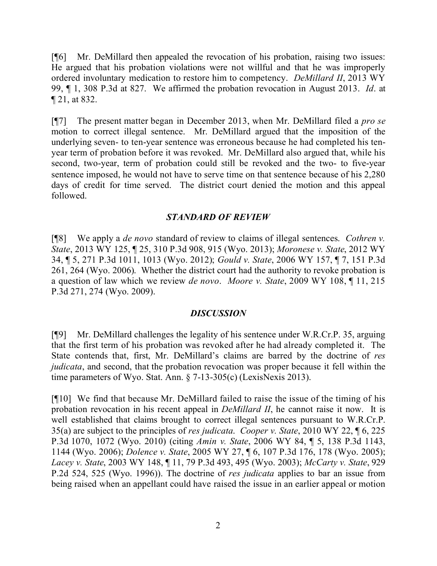[¶6] Mr. DeMillard then appealed the revocation of his probation, raising two issues: He argued that his probation violations were not willful and that he was improperly ordered involuntary medication to restore him to competency. *DeMillard II*, 2013 WY 99, ¶ 1, 308 P.3d at 827. We affirmed the probation revocation in August 2013. *Id*. at ¶ 21, at 832.

[¶7] The present matter began in December 2013, when Mr. DeMillard filed a *pro se* motion to correct illegal sentence. Mr. DeMillard argued that the imposition of the underlying seven- to ten-year sentence was erroneous because he had completed his tenyear term of probation before it was revoked. Mr. DeMillard also argued that, while his second, two-year, term of probation could still be revoked and the two- to five-year sentence imposed, he would not have to serve time on that sentence because of his 2,280 days of credit for time served. The district court denied the motion and this appeal followed.

# *STANDARD OF REVIEW*

[¶8] We apply a *de novo* standard of review to claims of illegal sentences. *Cothren v. State*, 2013 WY 125, ¶ 25, 310 P.3d 908, 915 (Wyo. 2013); *Moronese v. State*, 2012 WY 34, ¶ 5, 271 P.3d 1011, 1013 (Wyo. 2012); *Gould v. State*, 2006 WY 157, ¶ 7, 151 P.3d 261, 264 (Wyo. 2006). Whether the district court had the authority to revoke probation is a question of law which we review *de novo*. *Moore v. State*, 2009 WY 108, ¶ 11, 215 P.3d 271, 274 (Wyo. 2009).

#### *DISCUSSION*

[¶9] Mr. DeMillard challenges the legality of his sentence under W.R.Cr.P. 35, arguing that the first term of his probation was revoked after he had already completed it. The State contends that, first, Mr. DeMillard's claims are barred by the doctrine of *res judicata*, and second, that the probation revocation was proper because it fell within the time parameters of Wyo. Stat. Ann. § 7-13-305(c) (LexisNexis 2013).

[¶10] We find that because Mr. DeMillard failed to raise the issue of the timing of his probation revocation in his recent appeal in *DeMillard II*, he cannot raise it now. It is well established that claims brought to correct illegal sentences pursuant to W.R.Cr.P. 35(a) are subject to the principles of *res judicata*. *Cooper v. State*, 2010 WY 22, ¶ 6, 225 P.3d 1070, 1072 (Wyo. 2010) (citing *Amin v. State*, 2006 WY 84, ¶ 5, 138 P.3d 1143, 1144 (Wyo. 2006); *Dolence v. State*, 2005 WY 27, ¶ 6, 107 P.3d 176, 178 (Wyo. 2005); *Lacey v. State*, 2003 WY 148, ¶ 11, 79 P.3d 493, 495 (Wyo. 2003); *McCarty v. State*, 929 P.2d 524, 525 (Wyo. 1996)). The doctrine of *res judicata* applies to bar an issue from being raised when an appellant could have raised the issue in an earlier appeal or motion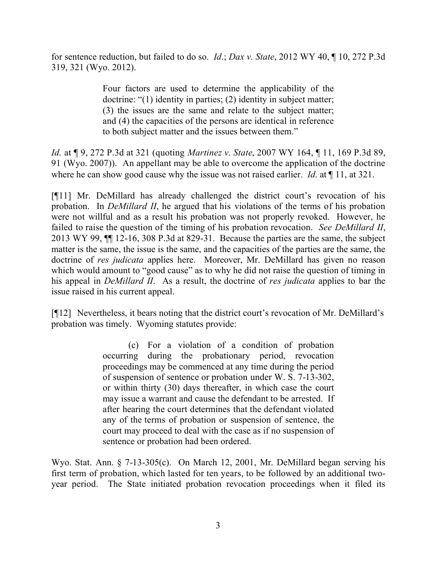for sentence reduction, but failed to do so. *Id*.; *Dax v. State*, 2012 WY 40, ¶ 10, 272 P.3d 319, 321 (Wyo. 2012).

> Four factors are used to determine the applicability of the doctrine: "(1) identity in parties; (2) identity in subject matter; (3) the issues are the same and relate to the subject matter; and (4) the capacities of the persons are identical in reference to both subject matter and the issues between them."

*Id.* at ¶ 9, 272 P.3d at 321 (quoting *Martinez v. State*, 2007 WY 164, ¶ 11, 169 P.3d 89, 91 (Wyo. 2007)). An appellant may be able to overcome the application of the doctrine where he can show good cause why the issue was not raised earlier. *Id.* at  $\P$  11, at 321.

[¶11] Mr. DeMillard has already challenged the district court's revocation of his probation. In *DeMillard II*, he argued that his violations of the terms of his probation were not willful and as a result his probation was not properly revoked. However, he failed to raise the question of the timing of his probation revocation. *See DeMillard II*, 2013 WY 99, ¶¶ 12-16, 308 P.3d at 829-31. Because the parties are the same, the subject matter is the same, the issue is the same, and the capacities of the parties are the same, the doctrine of *res judicata* applies here. Moreover, Mr. DeMillard has given no reason which would amount to "good cause" as to why he did not raise the question of timing in his appeal in *DeMillard II*. As a result, the doctrine of *res judicata* applies to bar the issue raised in his current appeal.

[¶12] Nevertheless, it bears noting that the district court's revocation of Mr. DeMillard's probation was timely. Wyoming statutes provide:

> (c) For a violation of a condition of probation occurring during the probationary period, revocation proceedings may be commenced at any time during the period of suspension of sentence or probation under W. S. 7-13-302, or within thirty (30) days thereafter, in which case the court may issue a warrant and cause the defendant to be arrested. If after hearing the court determines that the defendant violated any of the terms of probation or suspension of sentence, the court may proceed to deal with the case as if no suspension of sentence or probation had been ordered.

Wyo. Stat. Ann. § 7-13-305(c). On March 12, 2001, Mr. DeMillard began serving his first term of probation, which lasted for ten years, to be followed by an additional twoyear period. The State initiated probation revocation proceedings when it filed its